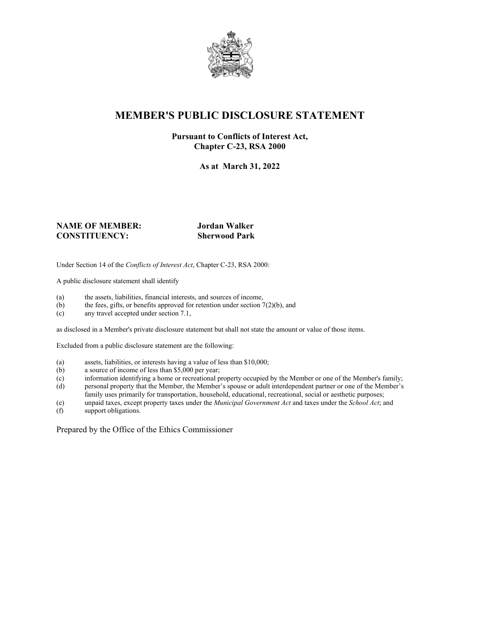

# **MEMBER'S PUBLIC DISCLOSURE STATEMENT**

#### **Pursuant to Conflicts of Interest Act, Chapter C-23, RSA 2000**

**As at March 31, 2022**

#### **NAME OF MEMBER: Jordan Walker CONSTITUENCY: Sherwood Park**

Under Section 14 of the *Conflicts of Interest Act*, Chapter C-23, RSA 2000:

A public disclosure statement shall identify

- (a) the assets, liabilities, financial interests, and sources of income,  $(b)$  the fees, gifts, or benefits approved for retention under section 7
- the fees, gifts, or benefits approved for retention under section  $7(2)(b)$ , and
- (c) any travel accepted under section 7.1,

as disclosed in a Member's private disclosure statement but shall not state the amount or value of those items.

Excluded from a public disclosure statement are the following:

- (a) assets, liabilities, or interests having a value of less than \$10,000;<br>(b) a source of income of less than \$5,000 per year;
- a source of income of less than  $$5,000$  per year;
- (c) information identifying a home or recreational property occupied by the Member or one of the Member's family;
- (d) personal property that the Member, the Member's spouse or adult interdependent partner or one of the Member's family uses primarily for transportation, household, educational, recreational, social or aesthetic purposes;
- (e) unpaid taxes, except property taxes under the *Municipal Government Act* and taxes under the *School Act*; and
- (f) support obligations.

Prepared by the Office of the Ethics Commissioner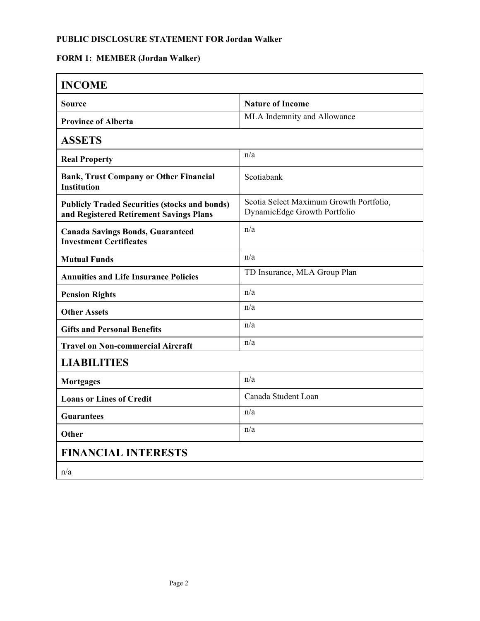### **PUBLIC DISCLOSURE STATEMENT FOR Jordan Walker**

## **FORM 1: MEMBER (Jordan Walker)**

| <b>INCOME</b>                                                                                   |                                                                         |
|-------------------------------------------------------------------------------------------------|-------------------------------------------------------------------------|
| Source                                                                                          | <b>Nature of Income</b>                                                 |
| <b>Province of Alberta</b>                                                                      | MLA Indemnity and Allowance                                             |
| <b>ASSETS</b>                                                                                   |                                                                         |
| <b>Real Property</b>                                                                            | n/a                                                                     |
| <b>Bank, Trust Company or Other Financial</b><br><b>Institution</b>                             | Scotiabank                                                              |
| <b>Publicly Traded Securities (stocks and bonds)</b><br>and Registered Retirement Savings Plans | Scotia Select Maximum Growth Portfolio,<br>DynamicEdge Growth Portfolio |
| <b>Canada Savings Bonds, Guaranteed</b><br><b>Investment Certificates</b>                       | n/a                                                                     |
| <b>Mutual Funds</b>                                                                             | n/a                                                                     |
| <b>Annuities and Life Insurance Policies</b>                                                    | TD Insurance, MLA Group Plan                                            |
| <b>Pension Rights</b>                                                                           | n/a                                                                     |
| <b>Other Assets</b>                                                                             | n/a                                                                     |
| <b>Gifts and Personal Benefits</b>                                                              | n/a                                                                     |
| <b>Travel on Non-commercial Aircraft</b>                                                        | n/a                                                                     |
| <b>LIABILITIES</b>                                                                              |                                                                         |
| <b>Mortgages</b>                                                                                | n/a                                                                     |
| <b>Loans or Lines of Credit</b>                                                                 | Canada Student Loan                                                     |
| <b>Guarantees</b>                                                                               | n/a                                                                     |
| Other                                                                                           | n/a                                                                     |
| <b>FINANCIAL INTERESTS</b>                                                                      |                                                                         |
| n/a                                                                                             |                                                                         |